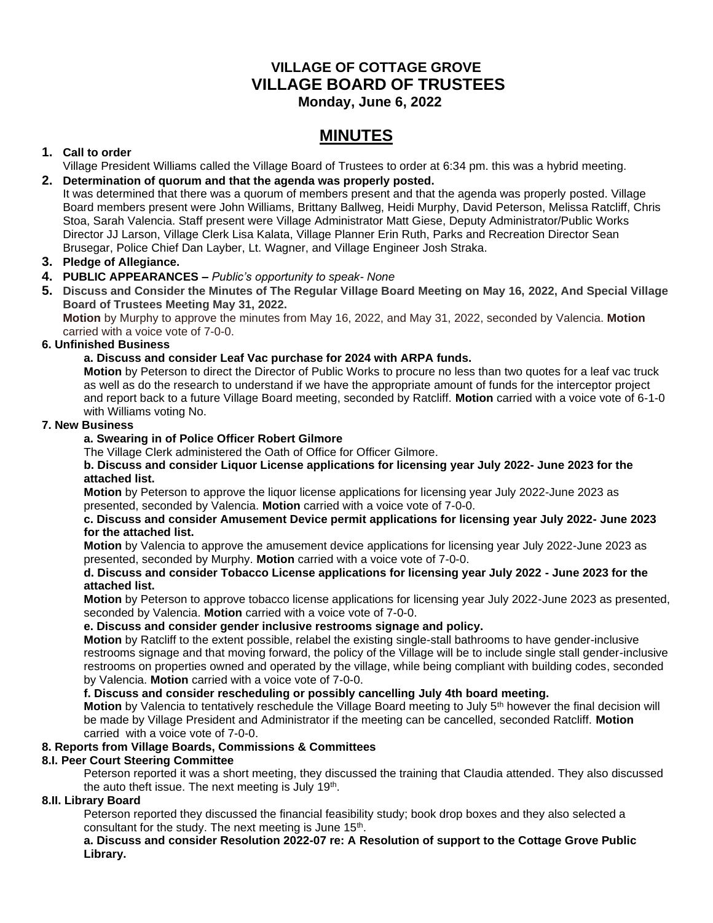# **VILLAGE OF COTTAGE GROVE VILLAGE BOARD OF TRUSTEES**

 **Monday, June 6, 2022**

# **MINUTES**

# **1. Call to order**

Village President Williams called the Village Board of Trustees to order at 6:34 pm. this was a hybrid meeting.

# **2. Determination of quorum and that the agenda was properly posted.**

It was determined that there was a quorum of members present and that the agenda was properly posted. Village Board members present were John Williams, Brittany Ballweg, Heidi Murphy, David Peterson, Melissa Ratcliff, Chris Stoa, Sarah Valencia. Staff present were Village Administrator Matt Giese, Deputy Administrator/Public Works Director JJ Larson, Village Clerk Lisa Kalata, Village Planner Erin Ruth, Parks and Recreation Director Sean Brusegar, Police Chief Dan Layber, Lt. Wagner, and Village Engineer Josh Straka.

# **3. Pledge of Allegiance.**

#### **4. PUBLIC APPEARANCES –** *Public's opportunity to speak- None*

**5. Discuss and Consider the Minutes of The Regular Village Board Meeting on May 16, 2022, And Special Village Board of Trustees Meeting May 31, 2022.**

**Motion** by Murphy to approve the minutes from May 16, 2022, and May 31, 2022, seconded by Valencia. **Motion** carried with a voice vote of 7-0-0.

#### **6. Unfinished Business**

# **a. Discuss and consider Leaf Vac purchase for 2024 with ARPA funds.**

**Motion** by Peterson to direct the Director of Public Works to procure no less than two quotes for a leaf vac truck as well as do the research to understand if we have the appropriate amount of funds for the interceptor project and report back to a future Village Board meeting, seconded by Ratcliff. **Motion** carried with a voice vote of 6-1-0 with Williams voting No.

#### **7. New Business**

# **a. Swearing in of Police Officer Robert Gilmore**

The Village Clerk administered the Oath of Office for Officer Gilmore.

#### **b. Discuss and consider Liquor License applications for licensing year July 2022- June 2023 for the attached list.**

**Motion** by Peterson to approve the liquor license applications for licensing year July 2022-June 2023 as presented, seconded by Valencia. **Motion** carried with a voice vote of 7-0-0.

#### **c. Discuss and consider Amusement Device permit applications for licensing year July 2022- June 2023 for the attached list.**

**Motion** by Valencia to approve the amusement device applications for licensing year July 2022-June 2023 as presented, seconded by Murphy. **Motion** carried with a voice vote of 7-0-0.

#### **d. Discuss and consider Tobacco License applications for licensing year July 2022 - June 2023 for the attached list.**

**Motion** by Peterson to approve tobacco license applications for licensing year July 2022-June 2023 as presented, seconded by Valencia. **Motion** carried with a voice vote of 7-0-0.

#### **e. Discuss and consider gender inclusive restrooms signage and policy.**

**Motion** by Ratcliff to the extent possible, relabel the existing single-stall bathrooms to have gender-inclusive restrooms signage and that moving forward, the policy of the Village will be to include single stall gender-inclusive restrooms on properties owned and operated by the village, while being compliant with building codes, seconded by Valencia. **Motion** carried with a voice vote of 7-0-0.

## **f. Discuss and consider rescheduling or possibly cancelling July 4th board meeting.**

**Motion** by Valencia to tentatively reschedule the Village Board meeting to July 5th however the final decision will be made by Village President and Administrator if the meeting can be cancelled, seconded Ratcliff. **Motion** carried with a voice vote of 7-0-0.

# **8. Reports from Village Boards, Commissions & Committees**

# **8.I. Peer Court Steering Committee**

Peterson reported it was a short meeting, they discussed the training that Claudia attended. They also discussed the auto theft issue. The next meeting is July 19<sup>th</sup>.

#### **8.II. Library Board**

Peterson reported they discussed the financial feasibility study; book drop boxes and they also selected a consultant for the study. The next meeting is June 15<sup>th</sup>.

**a. Discuss and consider Resolution 2022-07 re: A Resolution of support to the Cottage Grove Public Library.**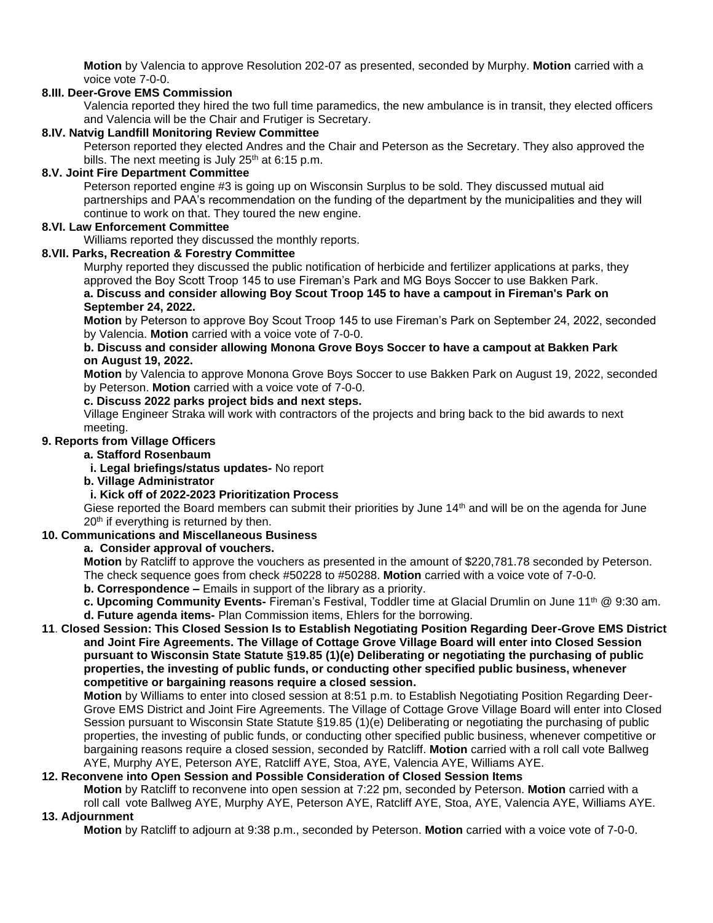**Motion** by Valencia to approve Resolution 202-07 as presented, seconded by Murphy. **Motion** carried with a voice vote 7-0-0.

#### **8.III. Deer-Grove EMS Commission**

Valencia reported they hired the two full time paramedics, the new ambulance is in transit, they elected officers and Valencia will be the Chair and Frutiger is Secretary.

#### **8.IV. Natvig Landfill Monitoring Review Committee**

Peterson reported they elected Andres and the Chair and Peterson as the Secretary. They also approved the bills. The next meeting is July  $25<sup>th</sup>$  at 6:15 p.m.

#### **8.V. Joint Fire Department Committee**

Peterson reported engine #3 is going up on Wisconsin Surplus to be sold. They discussed mutual aid partnerships and PAA's recommendation on the funding of the department by the municipalities and they will continue to work on that. They toured the new engine.

#### **8.VI. Law Enforcement Committee**

Williams reported they discussed the monthly reports.

#### **8.VII. Parks, Recreation & Forestry Committee**

Murphy reported they discussed the public notification of herbicide and fertilizer applications at parks, they approved the Boy Scott Troop 145 to use Fireman's Park and MG Boys Soccer to use Bakken Park.

#### **a. Discuss and consider allowing Boy Scout Troop 145 to have a campout in Fireman's Park on September 24, 2022.**

**Motion** by Peterson to approve Boy Scout Troop 145 to use Fireman's Park on September 24, 2022, seconded by Valencia. **Motion** carried with a voice vote of 7-0-0.

#### **b. Discuss and consider allowing Monona Grove Boys Soccer to have a campout at Bakken Park on August 19, 2022.**

**Motion** by Valencia to approve Monona Grove Boys Soccer to use Bakken Park on August 19, 2022, seconded by Peterson. **Motion** carried with a voice vote of 7-0-0.

#### **c. Discuss 2022 parks project bids and next steps.**

Village Engineer Straka will work with contractors of the projects and bring back to the bid awards to next meeting.

## **9. Reports from Village Officers**

**a. Stafford Rosenbaum**

**i. Legal briefings/status updates-** No report

#### **b. Village Administrator**

#### **i. Kick off of 2022-2023 Prioritization Process**

Giese reported the Board members can submit their priorities by June 14<sup>th</sup> and will be on the agenda for June 20<sup>th</sup> if everything is returned by then.

#### **10. Communications and Miscellaneous Business**

**a. Consider approval of vouchers.**

**Motion** by Ratcliff to approve the vouchers as presented in the amount of \$220,781.78 seconded by Peterson. The check sequence goes from check #50228 to #50288. **Motion** carried with a voice vote of 7-0-0.

**b. Correspondence –** Emails in support of the library as a priority.

**c. Upcoming Community Events-** Fireman's Festival, Toddler time at Glacial Drumlin on June 11th @ 9:30 am. **d. Future agenda items-** Plan Commission items, Ehlers for the borrowing.

#### **11**. **Closed Session: This Closed Session Is to Establish Negotiating Position Regarding Deer-Grove EMS District and Joint Fire Agreements. The Village of Cottage Grove Village Board will enter into Closed Session pursuant to Wisconsin State Statute §19.85 (1)(e) Deliberating or negotiating the purchasing of public properties, the investing of public funds, or conducting other specified public business, whenever competitive or bargaining reasons require a closed session.**

**Motion** by Williams to enter into closed session at 8:51 p.m. to Establish Negotiating Position Regarding Deer-Grove EMS District and Joint Fire Agreements. The Village of Cottage Grove Village Board will enter into Closed Session pursuant to Wisconsin State Statute §19.85 (1)(e) Deliberating or negotiating the purchasing of public properties, the investing of public funds, or conducting other specified public business, whenever competitive or bargaining reasons require a closed session, seconded by Ratcliff. **Motion** carried with a roll call vote Ballweg AYE, Murphy AYE, Peterson AYE, Ratcliff AYE, Stoa, AYE, Valencia AYE, Williams AYE.

## **12. Reconvene into Open Session and Possible Consideration of Closed Session Items**

**Motion** by Ratcliff to reconvene into open session at 7:22 pm, seconded by Peterson. **Motion** carried with a roll call vote Ballweg AYE, Murphy AYE, Peterson AYE, Ratcliff AYE, Stoa, AYE, Valencia AYE, Williams AYE.

#### **13. Adjournment**

**Motion** by Ratcliff to adjourn at 9:38 p.m., seconded by Peterson. **Motion** carried with a voice vote of 7-0-0.